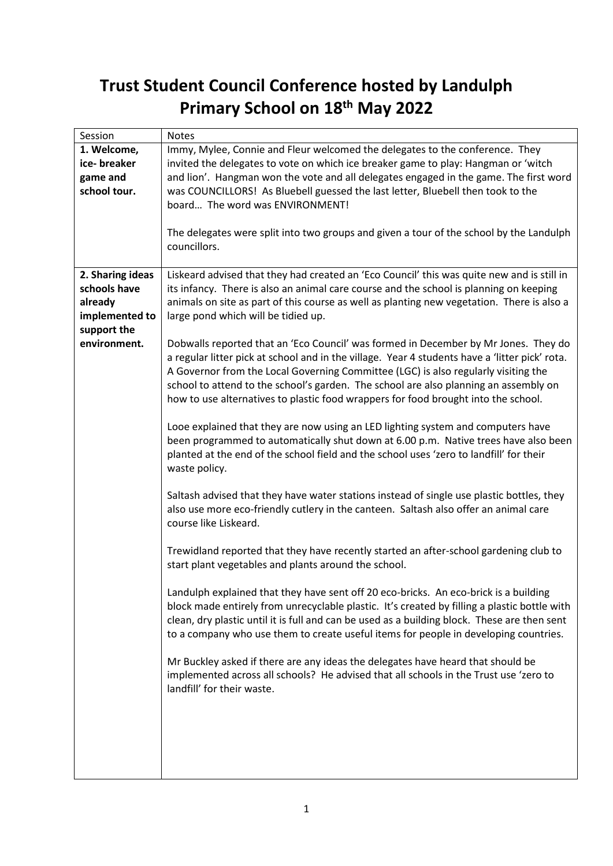## **Trust Student Council Conference hosted by Landulph Primary School on 18th May 2022**

| Session          | <b>Notes</b>                                                                                                                                                                          |
|------------------|---------------------------------------------------------------------------------------------------------------------------------------------------------------------------------------|
| 1. Welcome,      | Immy, Mylee, Connie and Fleur welcomed the delegates to the conference. They                                                                                                          |
| ice-breaker      | invited the delegates to vote on which ice breaker game to play: Hangman or 'witch                                                                                                    |
| game and         | and lion'. Hangman won the vote and all delegates engaged in the game. The first word                                                                                                 |
| school tour.     | was COUNCILLORS! As Bluebell guessed the last letter, Bluebell then took to the                                                                                                       |
|                  | board The word was ENVIRONMENT!                                                                                                                                                       |
|                  |                                                                                                                                                                                       |
|                  | The delegates were split into two groups and given a tour of the school by the Landulph                                                                                               |
|                  | councillors.                                                                                                                                                                          |
|                  |                                                                                                                                                                                       |
| 2. Sharing ideas | Liskeard advised that they had created an 'Eco Council' this was quite new and is still in                                                                                            |
| schools have     | its infancy. There is also an animal care course and the school is planning on keeping                                                                                                |
| already          | animals on site as part of this course as well as planting new vegetation. There is also a                                                                                            |
| implemented to   | large pond which will be tidied up.                                                                                                                                                   |
| support the      |                                                                                                                                                                                       |
| environment.     | Dobwalls reported that an 'Eco Council' was formed in December by Mr Jones. They do<br>a regular litter pick at school and in the village. Year 4 students have a 'litter pick' rota. |
|                  | A Governor from the Local Governing Committee (LGC) is also regularly visiting the                                                                                                    |
|                  | school to attend to the school's garden. The school are also planning an assembly on                                                                                                  |
|                  | how to use alternatives to plastic food wrappers for food brought into the school.                                                                                                    |
|                  |                                                                                                                                                                                       |
|                  | Looe explained that they are now using an LED lighting system and computers have                                                                                                      |
|                  | been programmed to automatically shut down at 6.00 p.m. Native trees have also been                                                                                                   |
|                  | planted at the end of the school field and the school uses 'zero to landfill' for their                                                                                               |
|                  | waste policy.                                                                                                                                                                         |
|                  |                                                                                                                                                                                       |
|                  | Saltash advised that they have water stations instead of single use plastic bottles, they                                                                                             |
|                  | also use more eco-friendly cutlery in the canteen. Saltash also offer an animal care                                                                                                  |
|                  | course like Liskeard.                                                                                                                                                                 |
|                  |                                                                                                                                                                                       |
|                  | Trewidland reported that they have recently started an after-school gardening club to                                                                                                 |
|                  | start plant vegetables and plants around the school.                                                                                                                                  |
|                  | Landulph explained that they have sent off 20 eco-bricks. An eco-brick is a building                                                                                                  |
|                  | block made entirely from unrecyclable plastic. It's created by filling a plastic bottle with                                                                                          |
|                  | clean, dry plastic until it is full and can be used as a building block. These are then sent                                                                                          |
|                  | to a company who use them to create useful items for people in developing countries.                                                                                                  |
|                  |                                                                                                                                                                                       |
|                  | Mr Buckley asked if there are any ideas the delegates have heard that should be                                                                                                       |
|                  | implemented across all schools? He advised that all schools in the Trust use 'zero to                                                                                                 |
|                  | landfill' for their waste.                                                                                                                                                            |
|                  |                                                                                                                                                                                       |
|                  |                                                                                                                                                                                       |
|                  |                                                                                                                                                                                       |
|                  |                                                                                                                                                                                       |
|                  |                                                                                                                                                                                       |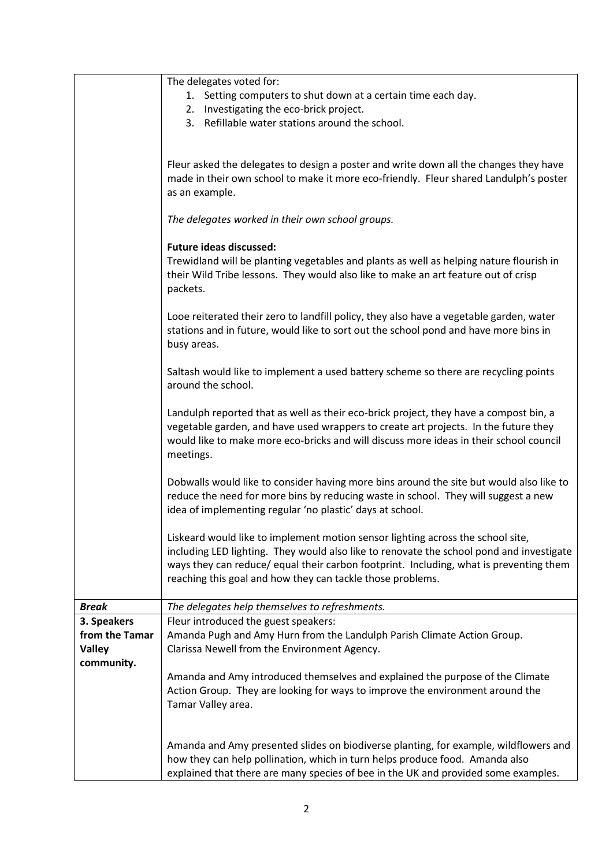|                | The delegates voted for:                                                                                                                                                                                                                                                                                                            |
|----------------|-------------------------------------------------------------------------------------------------------------------------------------------------------------------------------------------------------------------------------------------------------------------------------------------------------------------------------------|
|                | 1. Setting computers to shut down at a certain time each day.                                                                                                                                                                                                                                                                       |
|                | 2. Investigating the eco-brick project.<br>3. Refillable water stations around the school.                                                                                                                                                                                                                                          |
|                |                                                                                                                                                                                                                                                                                                                                     |
|                |                                                                                                                                                                                                                                                                                                                                     |
|                | Fleur asked the delegates to design a poster and write down all the changes they have<br>made in their own school to make it more eco-friendly. Fleur shared Landulph's poster<br>as an example.                                                                                                                                    |
|                |                                                                                                                                                                                                                                                                                                                                     |
|                | The delegates worked in their own school groups.                                                                                                                                                                                                                                                                                    |
|                | <b>Future ideas discussed:</b><br>Trewidland will be planting vegetables and plants as well as helping nature flourish in<br>their Wild Tribe lessons. They would also like to make an art feature out of crisp<br>packets.                                                                                                         |
|                | Looe reiterated their zero to landfill policy, they also have a vegetable garden, water<br>stations and in future, would like to sort out the school pond and have more bins in<br>busy areas.                                                                                                                                      |
|                | Saltash would like to implement a used battery scheme so there are recycling points<br>around the school.                                                                                                                                                                                                                           |
|                | Landulph reported that as well as their eco-brick project, they have a compost bin, a<br>vegetable garden, and have used wrappers to create art projects. In the future they<br>would like to make more eco-bricks and will discuss more ideas in their school council<br>meetings.                                                 |
|                | Dobwalls would like to consider having more bins around the site but would also like to<br>reduce the need for more bins by reducing waste in school. They will suggest a new<br>idea of implementing regular 'no plastic' days at school.                                                                                          |
|                | Liskeard would like to implement motion sensor lighting across the school site,<br>including LED lighting. They would also like to renovate the school pond and investigate<br>ways they can reduce/ equal their carbon footprint. Including, what is preventing them<br>reaching this goal and how they can tackle those problems. |
| <b>Break</b>   | The delegates help themselves to refreshments.                                                                                                                                                                                                                                                                                      |
| 3. Speakers    | Fleur introduced the guest speakers:                                                                                                                                                                                                                                                                                                |
| from the Tamar | Amanda Pugh and Amy Hurn from the Landulph Parish Climate Action Group.                                                                                                                                                                                                                                                             |
| <b>Valley</b>  | Clarissa Newell from the Environment Agency.                                                                                                                                                                                                                                                                                        |
| community.     |                                                                                                                                                                                                                                                                                                                                     |
|                | Amanda and Amy introduced themselves and explained the purpose of the Climate<br>Action Group. They are looking for ways to improve the environment around the                                                                                                                                                                      |
|                | Tamar Valley area.                                                                                                                                                                                                                                                                                                                  |
|                |                                                                                                                                                                                                                                                                                                                                     |
|                |                                                                                                                                                                                                                                                                                                                                     |
|                | Amanda and Amy presented slides on biodiverse planting, for example, wildflowers and<br>how they can help pollination, which in turn helps produce food. Amanda also<br>explained that there are many species of bee in the UK and provided some examples.                                                                          |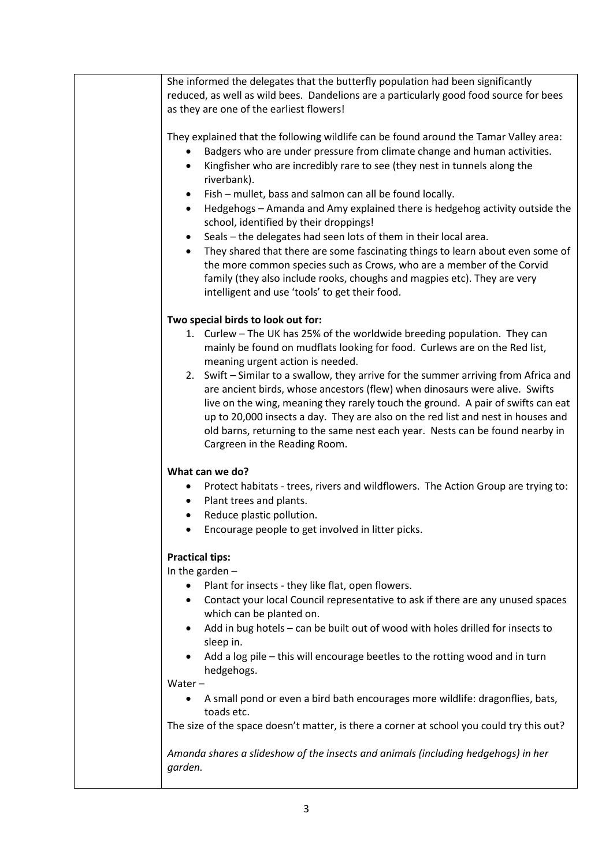| She informed the delegates that the butterfly population had been significantly                                                                                                                                                                                                                                                                                                                                                                               |
|---------------------------------------------------------------------------------------------------------------------------------------------------------------------------------------------------------------------------------------------------------------------------------------------------------------------------------------------------------------------------------------------------------------------------------------------------------------|
| reduced, as well as wild bees. Dandelions are a particularly good food source for bees                                                                                                                                                                                                                                                                                                                                                                        |
| as they are one of the earliest flowers!                                                                                                                                                                                                                                                                                                                                                                                                                      |
| They explained that the following wildlife can be found around the Tamar Valley area:<br>Badgers who are under pressure from climate change and human activities.<br>Kingfisher who are incredibly rare to see (they nest in tunnels along the<br>$\bullet$<br>riverbank).<br>Fish – mullet, bass and salmon can all be found locally.<br>٠                                                                                                                   |
| Hedgehogs - Amanda and Amy explained there is hedgehog activity outside the<br>$\bullet$<br>school, identified by their droppings!<br>Seals - the delegates had seen lots of them in their local area.<br>$\bullet$                                                                                                                                                                                                                                           |
| They shared that there are some fascinating things to learn about even some of<br>$\bullet$<br>the more common species such as Crows, who are a member of the Corvid<br>family (they also include rooks, choughs and magpies etc). They are very<br>intelligent and use 'tools' to get their food.                                                                                                                                                            |
| Two special birds to look out for:                                                                                                                                                                                                                                                                                                                                                                                                                            |
| 1. Curlew - The UK has 25% of the worldwide breeding population. They can<br>mainly be found on mudflats looking for food. Curlews are on the Red list,<br>meaning urgent action is needed.                                                                                                                                                                                                                                                                   |
| 2. Swift - Similar to a swallow, they arrive for the summer arriving from Africa and<br>are ancient birds, whose ancestors (flew) when dinosaurs were alive. Swifts<br>live on the wing, meaning they rarely touch the ground. A pair of swifts can eat<br>up to 20,000 insects a day. They are also on the red list and nest in houses and<br>old barns, returning to the same nest each year. Nests can be found nearby in<br>Cargreen in the Reading Room. |
| What can we do?                                                                                                                                                                                                                                                                                                                                                                                                                                               |
| Protect habitats - trees, rivers and wildflowers. The Action Group are trying to:<br>Plant trees and plants.<br>٠                                                                                                                                                                                                                                                                                                                                             |
| Reduce plastic pollution.<br>$\bullet$                                                                                                                                                                                                                                                                                                                                                                                                                        |
| Encourage people to get involved in litter picks.<br>$\bullet$                                                                                                                                                                                                                                                                                                                                                                                                |
|                                                                                                                                                                                                                                                                                                                                                                                                                                                               |
| <b>Practical tips:</b><br>In the garden $-$                                                                                                                                                                                                                                                                                                                                                                                                                   |
| Plant for insects - they like flat, open flowers.                                                                                                                                                                                                                                                                                                                                                                                                             |
| Contact your local Council representative to ask if there are any unused spaces<br>which can be planted on.                                                                                                                                                                                                                                                                                                                                                   |
| Add in bug hotels - can be built out of wood with holes drilled for insects to<br>sleep in.                                                                                                                                                                                                                                                                                                                                                                   |
| Add a log pile - this will encourage beetles to the rotting wood and in turn<br>hedgehogs.                                                                                                                                                                                                                                                                                                                                                                    |
| Water $-$                                                                                                                                                                                                                                                                                                                                                                                                                                                     |
| A small pond or even a bird bath encourages more wildlife: dragonflies, bats,<br>toads etc.                                                                                                                                                                                                                                                                                                                                                                   |
| The size of the space doesn't matter, is there a corner at school you could try this out?                                                                                                                                                                                                                                                                                                                                                                     |
| Amanda shares a slideshow of the insects and animals (including hedgehogs) in her<br>garden.                                                                                                                                                                                                                                                                                                                                                                  |
|                                                                                                                                                                                                                                                                                                                                                                                                                                                               |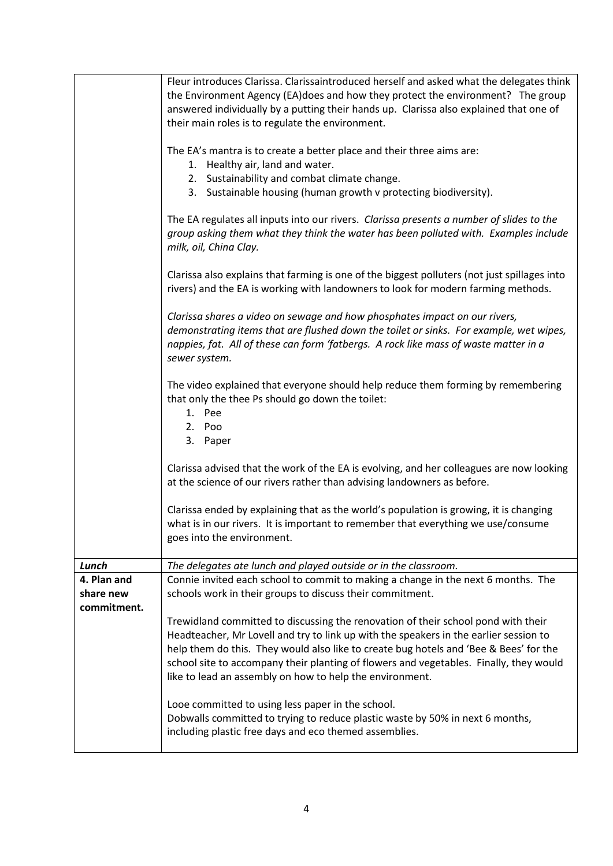|             | Fleur introduces Clarissa. Clarissaintroduced herself and asked what the delegates think                                                                                                                                                                                      |
|-------------|-------------------------------------------------------------------------------------------------------------------------------------------------------------------------------------------------------------------------------------------------------------------------------|
|             | the Environment Agency (EA)does and how they protect the environment? The group                                                                                                                                                                                               |
|             | answered individually by a putting their hands up. Clarissa also explained that one of                                                                                                                                                                                        |
|             | their main roles is to regulate the environment.                                                                                                                                                                                                                              |
|             | The EA's mantra is to create a better place and their three aims are:                                                                                                                                                                                                         |
|             | 1. Healthy air, land and water.                                                                                                                                                                                                                                               |
|             | 2. Sustainability and combat climate change.                                                                                                                                                                                                                                  |
|             | 3. Sustainable housing (human growth v protecting biodiversity).                                                                                                                                                                                                              |
|             |                                                                                                                                                                                                                                                                               |
|             | The EA regulates all inputs into our rivers. Clarissa presents a number of slides to the<br>group asking them what they think the water has been polluted with. Examples include<br>milk, oil, China Clay.                                                                    |
|             | Clarissa also explains that farming is one of the biggest polluters (not just spillages into<br>rivers) and the EA is working with landowners to look for modern farming methods.                                                                                             |
|             | Clarissa shares a video on sewage and how phosphates impact on our rivers,<br>demonstrating items that are flushed down the toilet or sinks. For example, wet wipes,<br>nappies, fat. All of these can form 'fatbergs. A rock like mass of waste matter in a<br>sewer system. |
|             | The video explained that everyone should help reduce them forming by remembering<br>that only the thee Ps should go down the toilet:<br>1. Pee<br>2. Poo                                                                                                                      |
|             | 3. Paper                                                                                                                                                                                                                                                                      |
|             | Clarissa advised that the work of the EA is evolving, and her colleagues are now looking<br>at the science of our rivers rather than advising landowners as before.                                                                                                           |
|             | Clarissa ended by explaining that as the world's population is growing, it is changing<br>what is in our rivers. It is important to remember that everything we use/consume<br>goes into the environment.                                                                     |
| Lunch       | The delegates ate lunch and played outside or in the classroom.                                                                                                                                                                                                               |
| 4. Plan and | Connie invited each school to commit to making a change in the next 6 months. The                                                                                                                                                                                             |
| share new   | schools work in their groups to discuss their commitment.                                                                                                                                                                                                                     |
| commitment. |                                                                                                                                                                                                                                                                               |
|             | Trewidland committed to discussing the renovation of their school pond with their                                                                                                                                                                                             |
|             | Headteacher, Mr Lovell and try to link up with the speakers in the earlier session to                                                                                                                                                                                         |
|             | help them do this. They would also like to create bug hotels and 'Bee & Bees' for the<br>school site to accompany their planting of flowers and vegetables. Finally, they would                                                                                               |
|             | like to lead an assembly on how to help the environment.                                                                                                                                                                                                                      |
|             | Looe committed to using less paper in the school.<br>Dobwalls committed to trying to reduce plastic waste by 50% in next 6 months,<br>including plastic free days and eco themed assemblies.                                                                                  |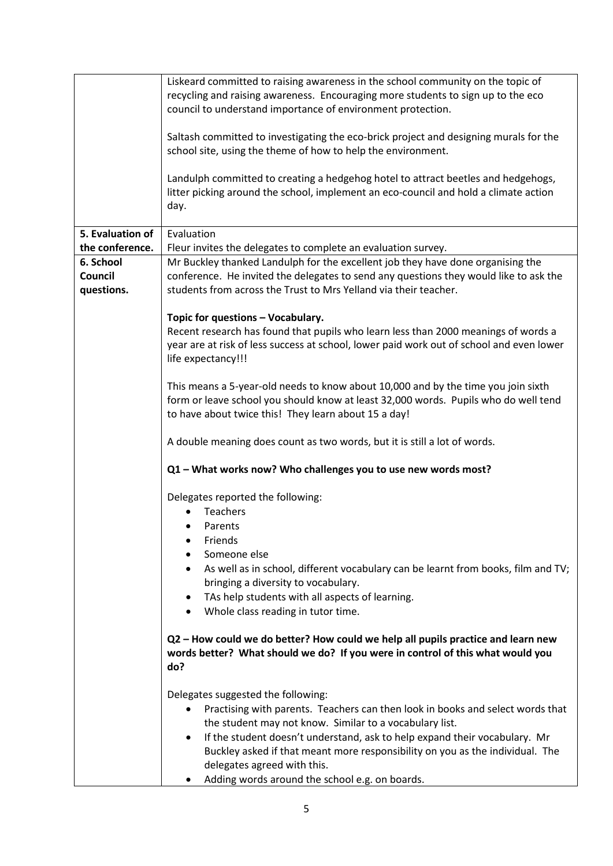|                  | Liskeard committed to raising awareness in the school community on the topic of<br>recycling and raising awareness. Encouraging more students to sign up to the eco<br>council to understand importance of environment protection.<br>Saltash committed to investigating the eco-brick project and designing murals for the<br>school site, using the theme of how to help the environment.<br>Landulph committed to creating a hedgehog hotel to attract beetles and hedgehogs,<br>litter picking around the school, implement an eco-council and hold a climate action<br>day. |
|------------------|----------------------------------------------------------------------------------------------------------------------------------------------------------------------------------------------------------------------------------------------------------------------------------------------------------------------------------------------------------------------------------------------------------------------------------------------------------------------------------------------------------------------------------------------------------------------------------|
|                  |                                                                                                                                                                                                                                                                                                                                                                                                                                                                                                                                                                                  |
| 5. Evaluation of | Evaluation                                                                                                                                                                                                                                                                                                                                                                                                                                                                                                                                                                       |
| the conference.  | Fleur invites the delegates to complete an evaluation survey.                                                                                                                                                                                                                                                                                                                                                                                                                                                                                                                    |
| 6. School        | Mr Buckley thanked Landulph for the excellent job they have done organising the                                                                                                                                                                                                                                                                                                                                                                                                                                                                                                  |
| Council          | conference. He invited the delegates to send any questions they would like to ask the                                                                                                                                                                                                                                                                                                                                                                                                                                                                                            |
| questions.       | students from across the Trust to Mrs Yelland via their teacher.                                                                                                                                                                                                                                                                                                                                                                                                                                                                                                                 |
|                  | Topic for questions - Vocabulary.                                                                                                                                                                                                                                                                                                                                                                                                                                                                                                                                                |
|                  | Recent research has found that pupils who learn less than 2000 meanings of words a                                                                                                                                                                                                                                                                                                                                                                                                                                                                                               |
|                  | year are at risk of less success at school, lower paid work out of school and even lower                                                                                                                                                                                                                                                                                                                                                                                                                                                                                         |
|                  | life expectancy!!!                                                                                                                                                                                                                                                                                                                                                                                                                                                                                                                                                               |
|                  |                                                                                                                                                                                                                                                                                                                                                                                                                                                                                                                                                                                  |
|                  | This means a 5-year-old needs to know about 10,000 and by the time you join sixth                                                                                                                                                                                                                                                                                                                                                                                                                                                                                                |
|                  | form or leave school you should know at least 32,000 words. Pupils who do well tend                                                                                                                                                                                                                                                                                                                                                                                                                                                                                              |
|                  | to have about twice this! They learn about 15 a day!                                                                                                                                                                                                                                                                                                                                                                                                                                                                                                                             |
|                  |                                                                                                                                                                                                                                                                                                                                                                                                                                                                                                                                                                                  |
|                  | A double meaning does count as two words, but it is still a lot of words.                                                                                                                                                                                                                                                                                                                                                                                                                                                                                                        |
|                  | Q1 - What works now? Who challenges you to use new words most?                                                                                                                                                                                                                                                                                                                                                                                                                                                                                                                   |
|                  |                                                                                                                                                                                                                                                                                                                                                                                                                                                                                                                                                                                  |
|                  | Delegates reported the following:                                                                                                                                                                                                                                                                                                                                                                                                                                                                                                                                                |
|                  | <b>Teachers</b>                                                                                                                                                                                                                                                                                                                                                                                                                                                                                                                                                                  |
|                  | Parents<br>$\bullet$                                                                                                                                                                                                                                                                                                                                                                                                                                                                                                                                                             |
|                  | Friends                                                                                                                                                                                                                                                                                                                                                                                                                                                                                                                                                                          |
|                  | Someone else                                                                                                                                                                                                                                                                                                                                                                                                                                                                                                                                                                     |
|                  | As well as in school, different vocabulary can be learnt from books, film and TV;                                                                                                                                                                                                                                                                                                                                                                                                                                                                                                |
|                  | bringing a diversity to vocabulary.                                                                                                                                                                                                                                                                                                                                                                                                                                                                                                                                              |
|                  | TAs help students with all aspects of learning.<br>٠                                                                                                                                                                                                                                                                                                                                                                                                                                                                                                                             |
|                  | Whole class reading in tutor time.                                                                                                                                                                                                                                                                                                                                                                                                                                                                                                                                               |
|                  | Q2 - How could we do better? How could we help all pupils practice and learn new                                                                                                                                                                                                                                                                                                                                                                                                                                                                                                 |
|                  | words better? What should we do? If you were in control of this what would you                                                                                                                                                                                                                                                                                                                                                                                                                                                                                                   |
|                  | do?                                                                                                                                                                                                                                                                                                                                                                                                                                                                                                                                                                              |
|                  |                                                                                                                                                                                                                                                                                                                                                                                                                                                                                                                                                                                  |
|                  | Delegates suggested the following:                                                                                                                                                                                                                                                                                                                                                                                                                                                                                                                                               |
|                  | Practising with parents. Teachers can then look in books and select words that                                                                                                                                                                                                                                                                                                                                                                                                                                                                                                   |
|                  | the student may not know. Similar to a vocabulary list.                                                                                                                                                                                                                                                                                                                                                                                                                                                                                                                          |
|                  | If the student doesn't understand, ask to help expand their vocabulary. Mr                                                                                                                                                                                                                                                                                                                                                                                                                                                                                                       |
|                  | Buckley asked if that meant more responsibility on you as the individual. The                                                                                                                                                                                                                                                                                                                                                                                                                                                                                                    |
|                  | delegates agreed with this.                                                                                                                                                                                                                                                                                                                                                                                                                                                                                                                                                      |
|                  | Adding words around the school e.g. on boards.<br>٠                                                                                                                                                                                                                                                                                                                                                                                                                                                                                                                              |